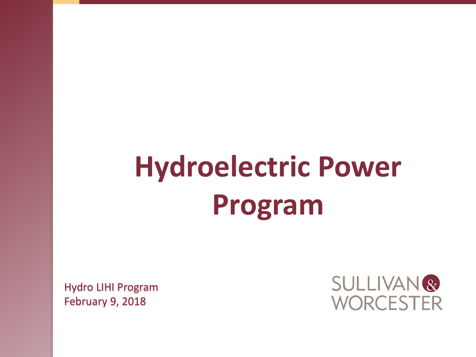# **Hydroelectric Power Program**

Hydro LIHI Program February 9, 2018

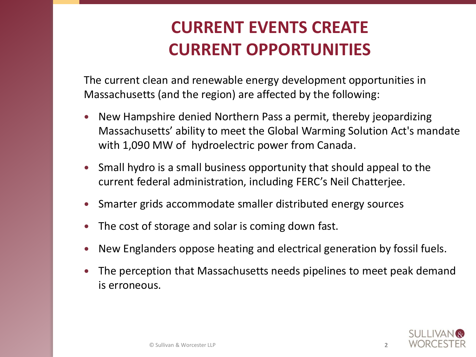# **CURRENT EVENTS CREATE CURRENT OPPORTUNITIES**

The current clean and renewable energy development opportunities in Massachusetts (and the region) are affected by the following:

- New Hampshire denied Northern Pass a permit, thereby jeopardizing Massachusetts' ability to meet the Global Warming Solution Act's mandate with 1,090 MW of hydroelectric power from Canada.
- Small hydro is a small business opportunity that should appeal to the current federal administration, including FERC's Neil Chatterjee.
- Smarter grids accommodate smaller distributed energy sources
- The cost of storage and solar is coming down fast.
- New Englanders oppose heating and electrical generation by fossil fuels.
- The perception that Massachusetts needs pipelines to meet peak demand is erroneous.

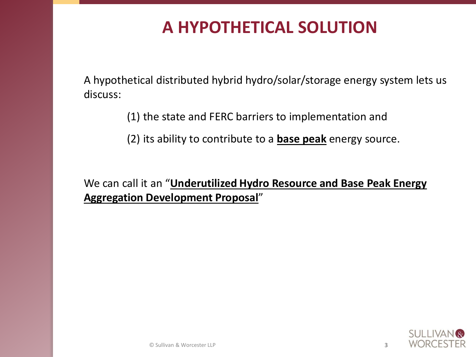### **A HYPOTHETICAL SOLUTION**

A hypothetical distributed hybrid hydro/solar/storage energy system lets us discuss:

(1) the state and FERC barriers to implementation and

(2) its ability to contribute to a **base peak** energy source.

We can call it an "**Underutilized Hydro Resource and Base Peak Energy Aggregation Development Proposal**"

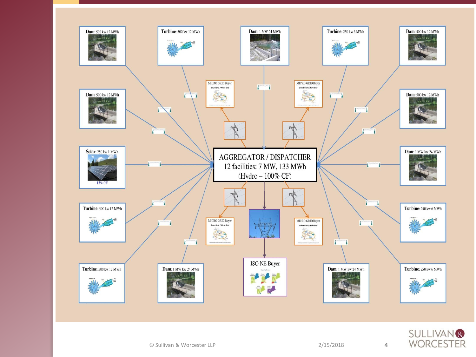

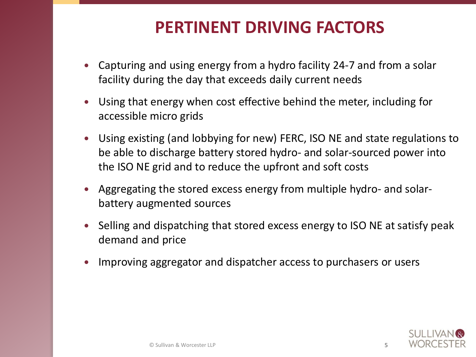#### **PERTINENT DRIVING FACTORS**

- Capturing and using energy from a hydro facility 24-7 and from a solar facility during the day that exceeds daily current needs
- Using that energy when cost effective behind the meter, including for accessible micro grids
- Using existing (and lobbying for new) FERC, ISO NE and state regulations to be able to discharge battery stored hydro- and solar-sourced power into the ISO NE grid and to reduce the upfront and soft costs
- Aggregating the stored excess energy from multiple hydro- and solarbattery augmented sources
- Selling and dispatching that stored excess energy to ISO NE at satisfy peak demand and price
- Improving aggregator and dispatcher access to purchasers or users

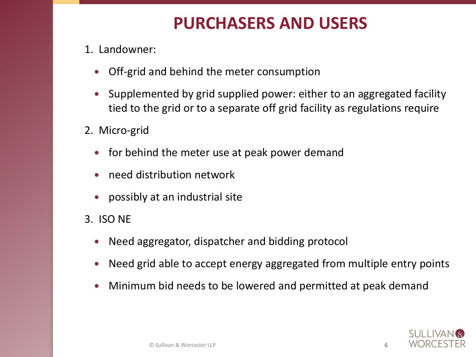### **PURCHASERS AND USERS**

- 1. Landowner:
	- Off-grid and behind the meter consumption
	- Supplemented by grid supplied power: either to an aggregated facility tied to the grid or to a separate off grid facility as regulations require
- 2. Micro-grid
	- for behind the meter use at peak power demand
	- need distribution network
	- possibly at an industrial site
- 3. ISO NE
	- Need aggregator, dispatcher and bidding protocol
	- Need grid able to accept energy aggregated from multiple entry points
	- Minimum bid needs to be lowered and permitted at peak demand

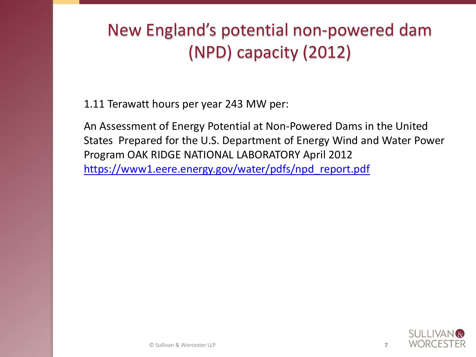# New England's potential non-powered dam (NPD) capacity (2012)

1.11 Terawatt hours per year 243 MW per:

An Assessment of Energy Potential at Non-Powered Dams in the United States Prepared for the U.S. Department of Energy Wind and Water Power Program OAK RIDGE NATIONAL LABORATORY April 2012 [https://www1.eere.energy.gov/water/pdfs/npd\\_report.pdf](https://www1.eere.energy.gov/water/pdfs/npd_report.pdf)

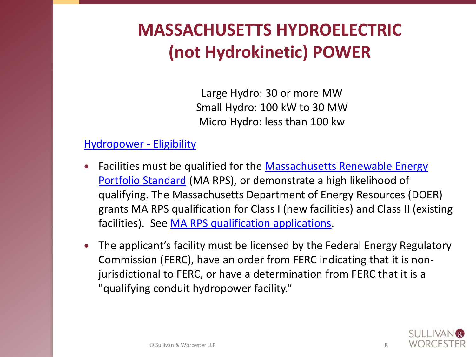# **MASSACHUSETTS HYDROELECTRIC (not Hydrokinetic) POWER**

Large Hydro: 30 or more MW Small Hydro: 100 kW to 30 MW Micro Hydro: less than 100 kw

#### [Hydropower -](http://www.masscec.com/hydropower-eligibility) Eligibility

- Facilities must be qualified for the Massachusetts Renewable Energy Portfolio Standard (MA RPS), or demonstrate a high likelihood of qualifying. The Massachusetts Department of Energy Resources (DOER) grants MA RPS qualification for Class I (new facilities) and Class II (existing facilities). See [MA RPS qualification applications](http://www.mass.gov/eea/energy-utilities-clean-tech/renewable-energy/rps-aps/rps-aps-sqa/).
- The applicant's facility must be licensed by the Federal Energy Regulatory Commission (FERC), have an order from FERC indicating that it is nonjurisdictional to FERC, or have a determination from FERC that it is a "qualifying conduit hydropower facility."